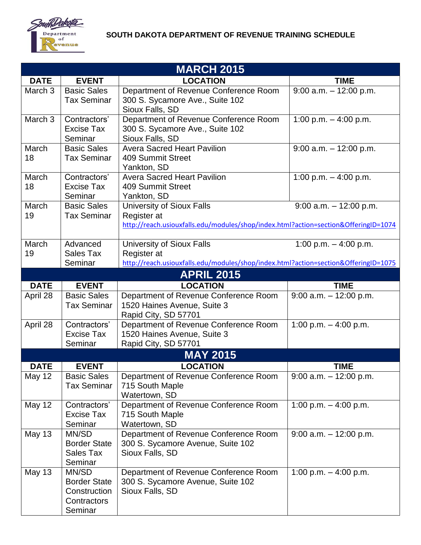

## **SOUTH DAKOTA DEPARTMENT OF REVENUE TRAINING SCHEDULE**

| <b>MARCH 2015</b>  |                                                                        |                                                                                                                                        |                           |  |  |
|--------------------|------------------------------------------------------------------------|----------------------------------------------------------------------------------------------------------------------------------------|---------------------------|--|--|
| <b>DATE</b>        | <b>EVENT</b>                                                           | <b>LOCATION</b>                                                                                                                        | <b>TIME</b>               |  |  |
| March <sub>3</sub> | <b>Basic Sales</b><br><b>Tax Seminar</b>                               | Department of Revenue Conference Room<br>300 S. Sycamore Ave., Suite 102<br>Sioux Falls, SD                                            | $9:00$ a.m. $-12:00$ p.m. |  |  |
| March 3            | Contractors'<br><b>Excise Tax</b><br>Seminar                           | Department of Revenue Conference Room<br>300 S. Sycamore Ave., Suite 102<br>Sioux Falls, SD                                            | 1:00 p.m. $-$ 4:00 p.m.   |  |  |
| March<br>18        | <b>Basic Sales</b><br><b>Tax Seminar</b>                               | <b>Avera Sacred Heart Pavilion</b><br>409 Summit Street<br>Yankton, SD                                                                 | $9:00$ a.m. $-12:00$ p.m. |  |  |
| March<br>18        | Contractors'<br><b>Excise Tax</b><br>Seminar                           | <b>Avera Sacred Heart Pavilion</b><br>409 Summit Street<br>Yankton, SD                                                                 | 1:00 p.m. $-$ 4:00 p.m.   |  |  |
| March<br>19        | <b>Basic Sales</b><br><b>Tax Seminar</b>                               | <b>University of Sioux Falls</b><br>Register at<br>http://reach.usiouxfalls.edu/modules/shop/index.html?action=section&OfferingID=1074 | $9:00$ a.m. $-12:00$ p.m. |  |  |
| March<br>19        | Advanced<br>Sales Tax<br>Seminar                                       | <b>University of Sioux Falls</b><br>Register at<br>http://reach.usiouxfalls.edu/modules/shop/index.html?action=section&OfferingID=1075 | 1:00 p.m. $-$ 4:00 p.m.   |  |  |
| <b>APRIL 2015</b>  |                                                                        |                                                                                                                                        |                           |  |  |
| <b>DATE</b>        | <b>EVENT</b>                                                           | <b>LOCATION</b>                                                                                                                        | <b>TIME</b>               |  |  |
| April 28           | <b>Basic Sales</b><br><b>Tax Seminar</b>                               | Department of Revenue Conference Room<br>1520 Haines Avenue, Suite 3<br>Rapid City, SD 57701                                           | $9:00$ a.m. $-12:00$ p.m. |  |  |
| April 28           | Contractors'<br><b>Excise Tax</b><br>Seminar                           | Department of Revenue Conference Room<br>1520 Haines Avenue, Suite 3<br>Rapid City, SD 57701                                           | 1:00 p.m. $-$ 4:00 p.m.   |  |  |
| <b>MAY 2015</b>    |                                                                        |                                                                                                                                        |                           |  |  |
| <b>DATE</b>        | <b>EVENT</b>                                                           | <b>LOCATION</b>                                                                                                                        | <b>TIME</b>               |  |  |
| <b>May 12</b>      | <b>Basic Sales</b><br><b>Tax Seminar</b>                               | Department of Revenue Conference Room<br>715 South Maple<br>Watertown, SD                                                              | $9:00$ a.m. $-12:00$ p.m. |  |  |
| May 12             | Contractors'<br>Excise Tax<br>Seminar                                  | Department of Revenue Conference Room<br>715 South Maple<br>Watertown, SD                                                              | 1:00 p.m. $-$ 4:00 p.m.   |  |  |
| <b>May 13</b>      | MN/SD<br><b>Border State</b><br>Sales Tax<br>Seminar                   | Department of Revenue Conference Room<br>300 S. Sycamore Avenue, Suite 102<br>Sioux Falls, SD                                          | $9:00$ a.m. $-12:00$ p.m. |  |  |
| <b>May 13</b>      | MN/SD<br><b>Border State</b><br>Construction<br>Contractors<br>Seminar | Department of Revenue Conference Room<br>300 S. Sycamore Avenue, Suite 102<br>Sioux Falls, SD                                          | 1:00 p.m. $-$ 4:00 p.m.   |  |  |